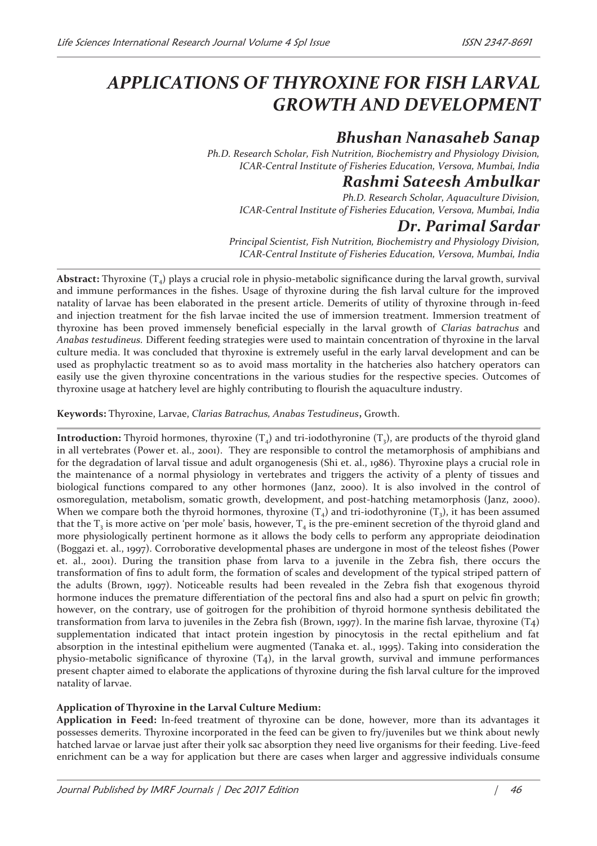# *APPLICATIONS OF THYROXINE FOR FISH LARVAL GROWTH AND DEVELOPMENT*

## *Bhushan Nanasaheb Sanap*

*Ph.D. Research Scholar, Fish Nutrition, Biochemistry and Physiology Division, ICAR-Central Institute of Fisheries Education, Versova, Mumbai, India* 

### *Rashmi Sateesh Ambulkar*

*Ph.D. Research Scholar, Aquaculture Division, ICAR-Central Institute of Fisheries Education, Versova, Mumbai, India* 

### *Dr. Parimal Sardar*

*Principal Scientist, Fish Nutrition, Biochemistry and Physiology Division, ICAR-Central Institute of Fisheries Education, Versova, Mumbai, India* 

**Abstract:** Thyroxine  $(T_4)$  plays a crucial role in physio-metabolic significance during the larval growth, survival and immune performances in the fishes. Usage of thyroxine during the fish larval culture for the improved natality of larvae has been elaborated in the present article. Demerits of utility of thyroxine through in-feed and injection treatment for the fish larvae incited the use of immersion treatment. Immersion treatment of thyroxine has been proved immensely beneficial especially in the larval growth of *Clarias batrachus* and *Anabas testudineus.* Different feeding strategies were used to maintain concentration of thyroxine in the larval culture media. It was concluded that thyroxine is extremely useful in the early larval development and can be used as prophylactic treatment so as to avoid mass mortality in the hatcheries also hatchery operators can easily use the given thyroxine concentrations in the various studies for the respective species. Outcomes of thyroxine usage at hatchery level are highly contributing to flourish the aquaculture industry.

**Keywords:** Thyroxine, Larvae, *Clarias Batrachus, Anabas Testudineus***,** Growth.

**Introduction:** Thyroid hormones, thyroxine  $(T_4)$  and tri-iodothyronine  $(T_3)$ , are products of the thyroid gland in all vertebrates (Power et. al., 2001). They are responsible to control the metamorphosis of amphibians and for the degradation of larval tissue and adult organogenesis (Shi et. al., 1986). Thyroxine plays a crucial role in the maintenance of a normal physiology in vertebrates and triggers the activity of a plenty of tissues and biological functions compared to any other hormones (Janz, 2000). It is also involved in the control of osmoregulation, metabolism, somatic growth, development, and post-hatching metamorphosis (Janz, 2000). When we compare both the thyroid hormones, thyroxine  $(T_4)$  and tri-iodothyronine  $(T_3)$ , it has been assumed that the  $T_3$  is more active on 'per mole' basis, however,  $T_4$  is the pre-eminent secretion of the thyroid gland and more physiologically pertinent hormone as it allows the body cells to perform any appropriate deiodination (Boggazi et. al., 1997). Corroborative developmental phases are undergone in most of the teleost fishes (Power et. al., 2001). During the transition phase from larva to a juvenile in the Zebra fish, there occurs the transformation of fins to adult form, the formation of scales and development of the typical striped pattern of the adults (Brown, 1997). Noticeable results had been revealed in the Zebra fish that exogenous thyroid hormone induces the premature differentiation of the pectoral fins and also had a spurt on pelvic fin growth; however, on the contrary, use of goitrogen for the prohibition of thyroid hormone synthesis debilitated the transformation from larva to juveniles in the Zebra fish (Brown, 1997). In the marine fish larvae, thyroxine (T4) supplementation indicated that intact protein ingestion by pinocytosis in the rectal epithelium and fat absorption in the intestinal epithelium were augmented (Tanaka et. al., 1995). Taking into consideration the physio-metabolic significance of thyroxine (T4), in the larval growth, survival and immune performances present chapter aimed to elaborate the applications of thyroxine during the fish larval culture for the improved natality of larvae.

#### **Application of Thyroxine in the Larval Culture Medium:**

**Application in Feed:** In-feed treatment of thyroxine can be done, however, more than its advantages it possesses demerits. Thyroxine incorporated in the feed can be given to fry/juveniles but we think about newly hatched larvae or larvae just after their yolk sac absorption they need live organisms for their feeding. Live-feed enrichment can be a way for application but there are cases when larger and aggressive individuals consume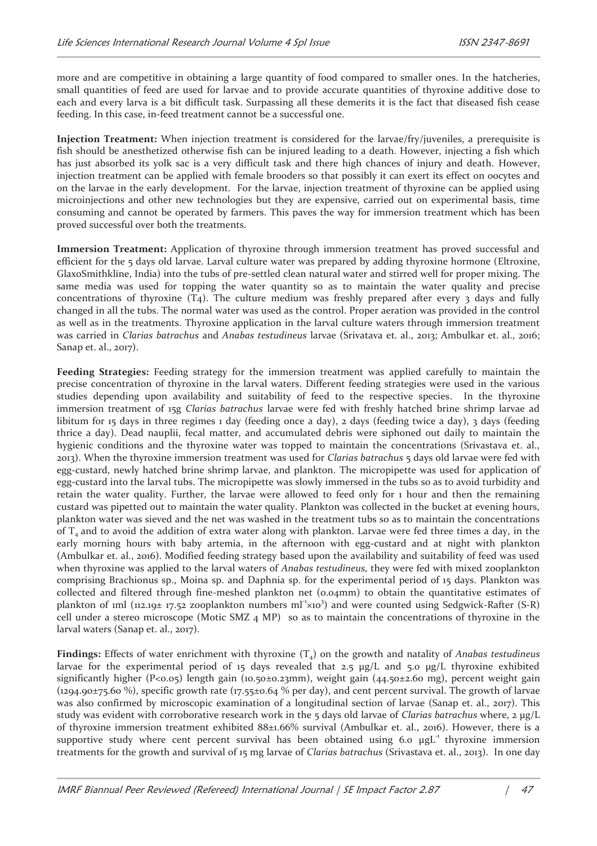more and are competitive in obtaining a large quantity of food compared to smaller ones. In the hatcheries, small quantities of feed are used for larvae and to provide accurate quantities of thyroxine additive dose to each and every larva is a bit difficult task. Surpassing all these demerits it is the fact that diseased fish cease feeding. In this case, in-feed treatment cannot be a successful one.

**Injection Treatment:** When injection treatment is considered for the larvae/fry/juveniles, a prerequisite is fish should be anesthetized otherwise fish can be injured leading to a death. However, injecting a fish which has just absorbed its yolk sac is a very difficult task and there high chances of injury and death. However, injection treatment can be applied with female brooders so that possibly it can exert its effect on oocytes and on the larvae in the early development. For the larvae, injection treatment of thyroxine can be applied using microinjections and other new technologies but they are expensive, carried out on experimental basis, time consuming and cannot be operated by farmers. This paves the way for immersion treatment which has been proved successful over both the treatments.

**Immersion Treatment:** Application of thyroxine through immersion treatment has proved successful and efficient for the 5 days old larvae. Larval culture water was prepared by adding thyroxine hormone (Eltroxine, GlaxoSmithkline, India) into the tubs of pre-settled clean natural water and stirred well for proper mixing. The same media was used for topping the water quantity so as to maintain the water quality and precise concentrations of thyroxine  $(T_4)$ . The culture medium was freshly prepared after every 3 days and fully changed in all the tubs. The normal water was used as the control. Proper aeration was provided in the control as well as in the treatments. Thyroxine application in the larval culture waters through immersion treatment was carried in *Clarias batrachus* and *Anabas testudineus* larvae (Srivatava et. al., 2013; Ambulkar et. al., 2016; Sanap et. al., 2017).

**Feeding Strategies:** Feeding strategy for the immersion treatment was applied carefully to maintain the precise concentration of thyroxine in the larval waters. Different feeding strategies were used in the various studies depending upon availability and suitability of feed to the respective species. In the thyroxine immersion treatment of 15g *Clarias batrachus* larvae were fed with freshly hatched brine shrimp larvae ad libitum for 15 days in three regimes 1 day (feeding once a day), 2 days (feeding twice a day), 3 days (feeding thrice a day). Dead nauplii, fecal matter, and accumulated debris were siphoned out daily to maintain the hygienic conditions and the thyroxine water was topped to maintain the concentrations (Srivastava et. al., 2013). When the thyroxine immersion treatment was used for *Clarias batrachus* 5 days old larvae were fed with egg-custard, newly hatched brine shrimp larvae, and plankton. The micropipette was used for application of egg-custard into the larval tubs. The micropipette was slowly immersed in the tubs so as to avoid turbidity and retain the water quality. Further, the larvae were allowed to feed only for 1 hour and then the remaining custard was pipetted out to maintain the water quality. Plankton was collected in the bucket at evening hours, plankton water was sieved and the net was washed in the treatment tubs so as to maintain the concentrations of  $T<sub>4</sub>$  and to avoid the addition of extra water along with plankton. Larvae were fed three times a day, in the early morning hours with baby artemia, in the afternoon with egg-custard and at night with plankton (Ambulkar et. al., 2016). Modified feeding strategy based upon the availability and suitability of feed was used when thyroxine was applied to the larval waters of *Anabas testudineus,* they were fed with mixed zooplankton comprising Brachionus sp., Moina sp. and Daphnia sp. for the experimental period of 15 days. Plankton was collected and filtered through fine-meshed plankton net (0.04mm) to obtain the quantitative estimates of plankton of 1ml (112.19± 17.52 zooplankton numbers ml<sup>-1</sup>x10<sup>3</sup>) and were counted using Sedgwick-Rafter (S-R) cell under a stereo microscope (Motic SMZ 4 MP) so as to maintain the concentrations of thyroxine in the larval waters (Sanap et. al., 2017).

**Findings:** Effects of water enrichment with thyroxine  $(T_4)$  on the growth and natality of *Anabas testudineus* larvae for the experimental period of 15 days revealed that 2.5  $\mu$ g/L and 5.0  $\mu$ g/L thyroxine exhibited significantly higher (P<0.05) length gain (10.50±0.23mm), weight gain (44.50±2.60 mg), percent weight gain (1294.90±75.60 %), specific growth rate (17.55±0.64 % per day), and cent percent survival. The growth of larvae was also confirmed by microscopic examination of a longitudinal section of larvae (Sanap et. al., 2017). This study was evident with corroborative research work in the 5 days old larvae of *Clarias batrachus* where, 2 µg/L of thyroxine immersion treatment exhibited 88±1.66% survival (Ambulkar et. al., 2016). However, there is a supportive study where cent percent survival has been obtained using 6.0  $\mu g L^{-1}$  thyroxine immersion treatments for the growth and survival of 15 mg larvae of *Clarias batrachus* (Srivastava et. al., 2013). In one day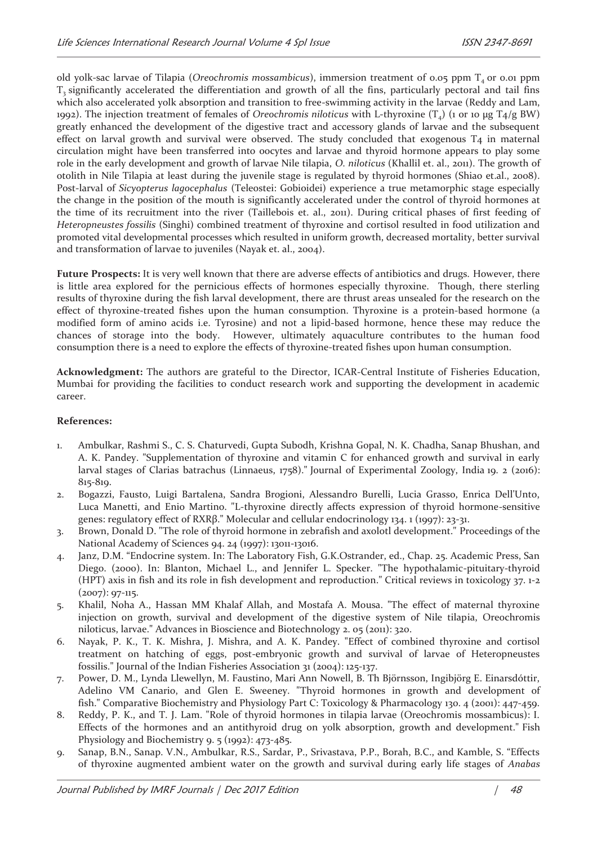old yolk-sac larvae of Tilapia (*Oreochromis mossambicus*), immersion treatment of 0.05 ppm T<sub>4</sub> or 0.01 ppm  $T_3$  significantly accelerated the differentiation and growth of all the fins, particularly pectoral and tail fins which also accelerated yolk absorption and transition to free-swimming activity in the larvae (Reddy and Lam, 1992). The injection treatment of females of *Oreochromis niloticus* with L-thyroxine (T4) (1 or 10 μg T4/g BW) greatly enhanced the development of the digestive tract and accessory glands of larvae and the subsequent effect on larval growth and survival were observed. The study concluded that exogenous T<sub>4</sub> in maternal circulation might have been transferred into oocytes and larvae and thyroid hormone appears to play some role in the early development and growth of larvae Nile tilapia, *O. niloticus* (Khallil et. al., 2011). The growth of otolith in Nile Tilapia at least during the juvenile stage is regulated by thyroid hormones (Shiao et.al., 2008). Post-larval of *Sicyopterus lagocephalus* (Teleostei: Gobioidei) experience a true metamorphic stage especially the change in the position of the mouth is significantly accelerated under the control of thyroid hormones at the time of its recruitment into the river (Taillebois et. al., 2011). During critical phases of first feeding of *Heteropneustes fossilis* (Singhi) combined treatment of thyroxine and cortisol resulted in food utilization and promoted vital developmental processes which resulted in uniform growth, decreased mortality, better survival and transformation of larvae to juveniles (Nayak et. al., 2004).

**Future Prospects:** It is very well known that there are adverse effects of antibiotics and drugs. However, there is little area explored for the pernicious effects of hormones especially thyroxine. Though, there sterling results of thyroxine during the fish larval development, there are thrust areas unsealed for the research on the effect of thyroxine-treated fishes upon the human consumption. Thyroxine is a protein-based hormone (a modified form of amino acids i.e. Tyrosine) and not a lipid-based hormone, hence these may reduce the chances of storage into the body. However, ultimately aquaculture contributes to the human food consumption there is a need to explore the effects of thyroxine-treated fishes upon human consumption.

**Acknowledgment:** The authors are grateful to the Director, ICAR-Central Institute of Fisheries Education, Mumbai for providing the facilities to conduct research work and supporting the development in academic career.

#### **References:**

- 1. Ambulkar, Rashmi S., C. S. Chaturvedi, Gupta Subodh, Krishna Gopal, N. K. Chadha, Sanap Bhushan, and A. K. Pandey. "Supplementation of thyroxine and vitamin C for enhanced growth and survival in early larval stages of Clarias batrachus (Linnaeus, 1758)." Journal of Experimental Zoology, India 19. 2 (2016): 815-819.
- 2. Bogazzi, Fausto, Luigi Bartalena, Sandra Brogioni, Alessandro Burelli, Lucia Grasso, Enrica Dell'Unto, Luca Manetti, and Enio Martino. "L-thyroxine directly affects expression of thyroid hormone-sensitive genes: regulatory effect of RXRβ." Molecular and cellular endocrinology 134. 1 (1997): 23-31.
- 3. Brown, Donald D. "The role of thyroid hormone in zebrafish and axolotl development." Proceedings of the National Academy of Sciences 94. 24 (1997): 13011-13016.
- 4. Janz, D.M. "Endocrine system. In: The Laboratory Fish, G.K.Ostrander, ed., Chap. 25. Academic Press, San Diego. (2000). In: Blanton, Michael L., and Jennifer L. Specker. "The hypothalamic-pituitary-thyroid (HPT) axis in fish and its role in fish development and reproduction." Critical reviews in toxicology 37. 1-2  $(2007): 97-115.$
- 5. Khalil, Noha A., Hassan MM Khalaf Allah, and Mostafa A. Mousa. "The effect of maternal thyroxine injection on growth, survival and development of the digestive system of Nile tilapia, Oreochromis niloticus, larvae." Advances in Bioscience and Biotechnology 2. 05 (2011): 320.
- 6. Nayak, P. K., T. K. Mishra, J. Mishra, and A. K. Pandey. "Effect of combined thyroxine and cortisol treatment on hatching of eggs, post-embryonic growth and survival of larvae of Heteropneustes fossilis." Journal of the Indian Fisheries Association 31 (2004): 125-137.
- 7. Power, D. M., Lynda Llewellyn, M. Faustino, Mari Ann Nowell, B. Th Björnsson, Ingibjörg E. Einarsdóttir, Adelino VM Canario, and Glen E. Sweeney. "Thyroid hormones in growth and development of fish." Comparative Biochemistry and Physiology Part C: Toxicology & Pharmacology 130. 4 (2001): 447-459.
- 8. Reddy, P. K., and T. J. Lam. "Role of thyroid hormones in tilapia larvae (Oreochromis mossambicus): I. Effects of the hormones and an antithyroid drug on yolk absorption, growth and development." Fish Physiology and Biochemistry 9. 5 (1992): 473-485.
- 9. Sanap, B.N., Sanap. V.N., Ambulkar, R.S., Sardar, P., Srivastava, P.P., Borah, B.C., and Kamble, S. "Effects of thyroxine augmented ambient water on the growth and survival during early life stages of *Anabas*